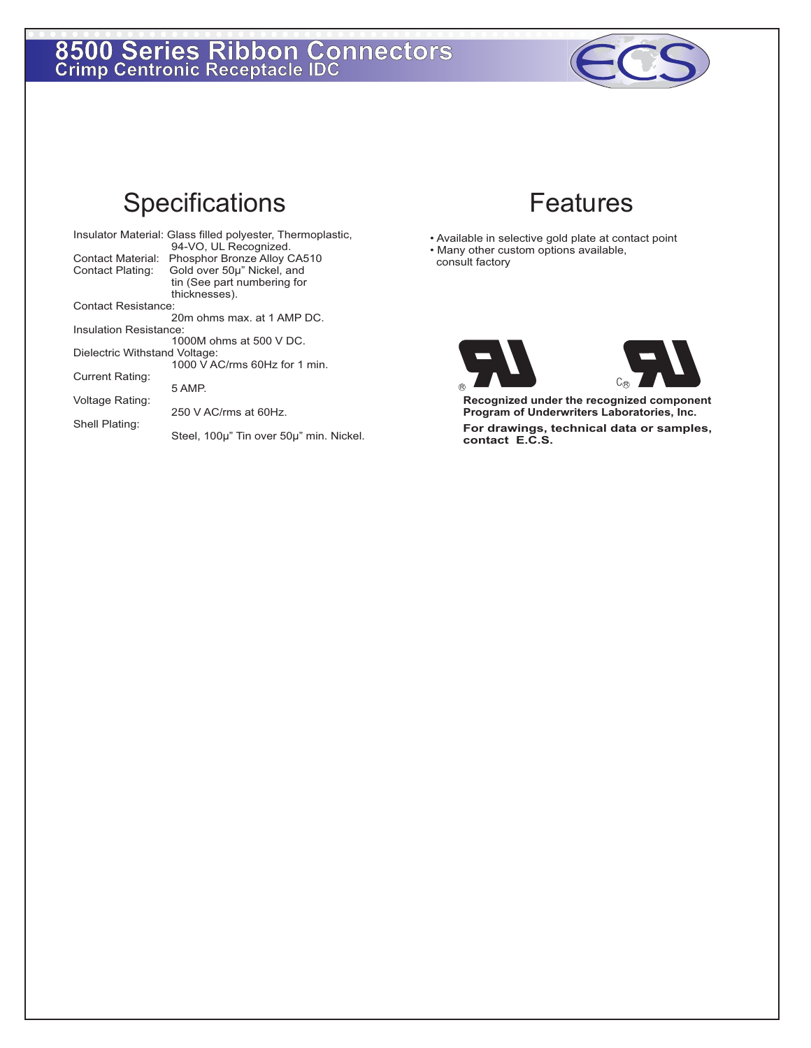## **8500 Series Ribbon Connectors Crimp Centronic Receptacle IDC**



## Specifications Features

|                               | Insulator Material: Glass filled polyester, Thermoplastic, |  |  |  |
|-------------------------------|------------------------------------------------------------|--|--|--|
|                               | 94-VO, UL Recognized.                                      |  |  |  |
| Contact Material:             | Phosphor Bronze Alloy CA510                                |  |  |  |
| Contact Plating:              | Gold over 50µ" Nickel, and                                 |  |  |  |
|                               | tin (See part numbering for                                |  |  |  |
|                               | thicknesses).                                              |  |  |  |
| Contact Resistance:           |                                                            |  |  |  |
|                               | 20m ohms max, at 1 AMP DC.                                 |  |  |  |
| Insulation Resistance:        |                                                            |  |  |  |
|                               | 1000M ohms at 500 V DC.                                    |  |  |  |
| Dielectric Withstand Voltage: |                                                            |  |  |  |
|                               | 1000 V AC/rms 60Hz for 1 min.                              |  |  |  |
| Current Rating:               |                                                            |  |  |  |
|                               | 5 AMP.                                                     |  |  |  |
| Voltage Rating:               |                                                            |  |  |  |
|                               | $250$ V AC/rms at 60Hz.                                    |  |  |  |
| Shell Plating:                |                                                            |  |  |  |
|                               | Steel, 100µ" Tin over 50µ" min. Nickel.                    |  |  |  |
|                               |                                                            |  |  |  |

- Available in selective gold plate at contact point • Many other custom options available,
- consult factory





**Recognized under the recognized component Program of Underwriters Laboratories, Inc.** 

 **For drawings, technical data or samples, contact E.C.S.**